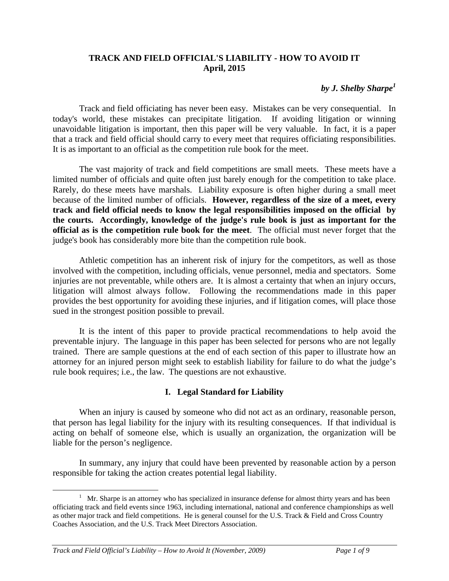### **TRACK AND FIELD OFFICIAL'S LIABILITY - HOW TO AVOID IT April, 2015**

### *by J. Shelby Sharpe<sup>1</sup>*

 Track and field officiating has never been easy. Mistakes can be very consequential. In today's world, these mistakes can precipitate litigation. If avoiding litigation or winning unavoidable litigation is important, then this paper will be very valuable. In fact, it is a paper that a track and field official should carry to every meet that requires officiating responsibilities. It is as important to an official as the competition rule book for the meet.

 The vast majority of track and field competitions are small meets. These meets have a limited number of officials and quite often just barely enough for the competition to take place. Rarely, do these meets have marshals. Liability exposure is often higher during a small meet because of the limited number of officials. **However, regardless of the size of a meet, every track and field official needs to know the legal responsibilities imposed on the official by the courts. Accordingly, knowledge of the judge's rule book is just as important for the official as is the competition rule book for the meet**. The official must never forget that the judge's book has considerably more bite than the competition rule book.

Athletic competition has an inherent risk of injury for the competitors, as well as those involved with the competition, including officials, venue personnel, media and spectators. Some injuries are not preventable, while others are. It is almost a certainty that when an injury occurs, litigation will almost always follow. Following the recommendations made in this paper provides the best opportunity for avoiding these injuries, and if litigation comes, will place those sued in the strongest position possible to prevail.

 It is the intent of this paper to provide practical recommendations to help avoid the preventable injury. The language in this paper has been selected for persons who are not legally trained. There are sample questions at the end of each section of this paper to illustrate how an attorney for an injured person might seek to establish liability for failure to do what the judge's rule book requires; i.e., the law. The questions are not exhaustive.

### **I. Legal Standard for Liability**

When an injury is caused by someone who did not act as an ordinary, reasonable person, that person has legal liability for the injury with its resulting consequences. If that individual is acting on behalf of someone else, which is usually an organization, the organization will be liable for the person's negligence.

In summary, any injury that could have been prevented by reasonable action by a person responsible for taking the action creates potential legal liability.

<sup>&</sup>lt;u>1</u>  $<sup>1</sup>$  Mr. Sharpe is an attorney who has specialized in insurance defense for almost thirty years and has been</sup> officiating track and field events since 1963, including international, national and conference championships as well as other major track and field competitions. He is general counsel for the U.S. Track & Field and Cross Country Coaches Association, and the U.S. Track Meet Directors Association.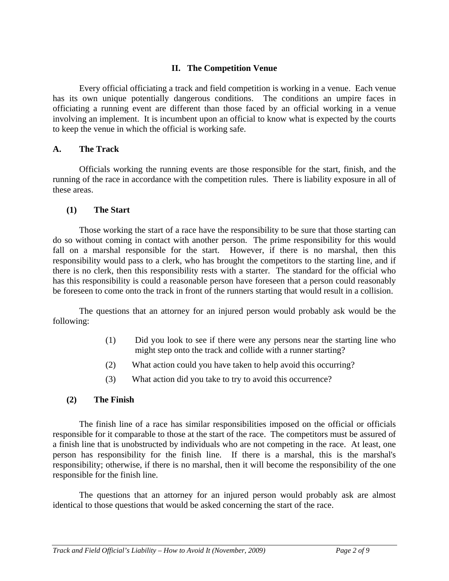### **II. The Competition Venue**

 Every official officiating a track and field competition is working in a venue. Each venue has its own unique potentially dangerous conditions. The conditions an umpire faces in officiating a running event are different than those faced by an official working in a venue involving an implement. It is incumbent upon an official to know what is expected by the courts to keep the venue in which the official is working safe.

#### **A. The Track**

Officials working the running events are those responsible for the start, finish, and the running of the race in accordance with the competition rules. There is liability exposure in all of these areas.

#### **(1) The Start**

Those working the start of a race have the responsibility to be sure that those starting can do so without coming in contact with another person. The prime responsibility for this would fall on a marshal responsible for the start. However, if there is no marshal, then this responsibility would pass to a clerk, who has brought the competitors to the starting line, and if there is no clerk, then this responsibility rests with a starter. The standard for the official who has this responsibility is could a reasonable person have foreseen that a person could reasonably be foreseen to come onto the track in front of the runners starting that would result in a collision.

The questions that an attorney for an injured person would probably ask would be the following:

- (1) Did you look to see if there were any persons near the starting line who might step onto the track and collide with a runner starting?
- (2) What action could you have taken to help avoid this occurring?
- (3) What action did you take to try to avoid this occurrence?

### **(2) The Finish**

The finish line of a race has similar responsibilities imposed on the official or officials responsible for it comparable to those at the start of the race. The competitors must be assured of a finish line that is unobstructed by individuals who are not competing in the race. At least, one person has responsibility for the finish line. If there is a marshal, this is the marshal's responsibility; otherwise, if there is no marshal, then it will become the responsibility of the one responsible for the finish line.

The questions that an attorney for an injured person would probably ask are almost identical to those questions that would be asked concerning the start of the race.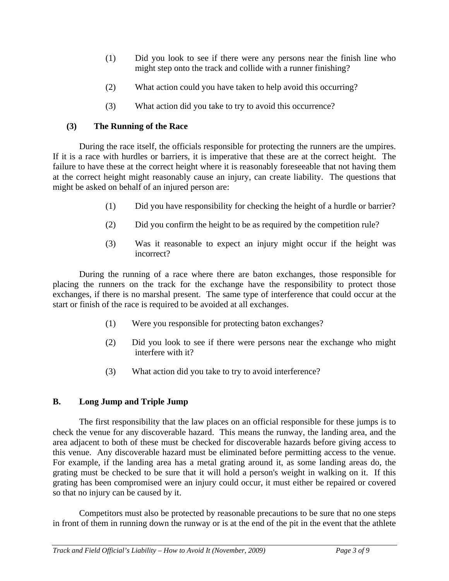- (1) Did you look to see if there were any persons near the finish line who might step onto the track and collide with a runner finishing?
- (2) What action could you have taken to help avoid this occurring?
- (3) What action did you take to try to avoid this occurrence?

# **(3) The Running of the Race**

During the race itself, the officials responsible for protecting the runners are the umpires. If it is a race with hurdles or barriers, it is imperative that these are at the correct height. The failure to have these at the correct height where it is reasonably foreseeable that not having them at the correct height might reasonably cause an injury, can create liability. The questions that might be asked on behalf of an injured person are:

- (1) Did you have responsibility for checking the height of a hurdle or barrier?
- (2) Did you confirm the height to be as required by the competition rule?
- (3) Was it reasonable to expect an injury might occur if the height was incorrect?

During the running of a race where there are baton exchanges, those responsible for placing the runners on the track for the exchange have the responsibility to protect those exchanges, if there is no marshal present. The same type of interference that could occur at the start or finish of the race is required to be avoided at all exchanges.

- (1) Were you responsible for protecting baton exchanges?
- (2) Did you look to see if there were persons near the exchange who might interfere with it?
- (3) What action did you take to try to avoid interference?

# **B. Long Jump and Triple Jump**

The first responsibility that the law places on an official responsible for these jumps is to check the venue for any discoverable hazard. This means the runway, the landing area, and the area adjacent to both of these must be checked for discoverable hazards before giving access to this venue. Any discoverable hazard must be eliminated before permitting access to the venue. For example, if the landing area has a metal grating around it, as some landing areas do, the grating must be checked to be sure that it will hold a person's weight in walking on it. If this grating has been compromised were an injury could occur, it must either be repaired or covered so that no injury can be caused by it.

Competitors must also be protected by reasonable precautions to be sure that no one steps in front of them in running down the runway or is at the end of the pit in the event that the athlete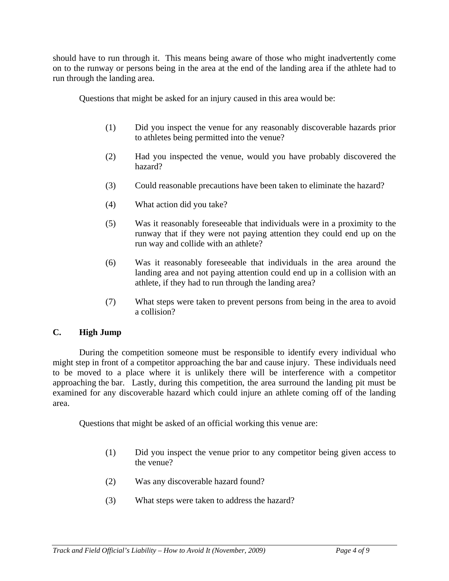should have to run through it. This means being aware of those who might inadvertently come on to the runway or persons being in the area at the end of the landing area if the athlete had to run through the landing area.

Questions that might be asked for an injury caused in this area would be:

- (1) Did you inspect the venue for any reasonably discoverable hazards prior to athletes being permitted into the venue?
- (2) Had you inspected the venue, would you have probably discovered the hazard?
- (3) Could reasonable precautions have been taken to eliminate the hazard?
- (4) What action did you take?
- (5) Was it reasonably foreseeable that individuals were in a proximity to the runway that if they were not paying attention they could end up on the run way and collide with an athlete?
- (6) Was it reasonably foreseeable that individuals in the area around the landing area and not paying attention could end up in a collision with an athlete, if they had to run through the landing area?
- (7) What steps were taken to prevent persons from being in the area to avoid a collision?

# **C. High Jump**

During the competition someone must be responsible to identify every individual who might step in front of a competitor approaching the bar and cause injury. These individuals need to be moved to a place where it is unlikely there will be interference with a competitor approaching the bar. Lastly, during this competition, the area surround the landing pit must be examined for any discoverable hazard which could injure an athlete coming off of the landing area.

Questions that might be asked of an official working this venue are:

- (1) Did you inspect the venue prior to any competitor being given access to the venue?
- (2) Was any discoverable hazard found?
- (3) What steps were taken to address the hazard?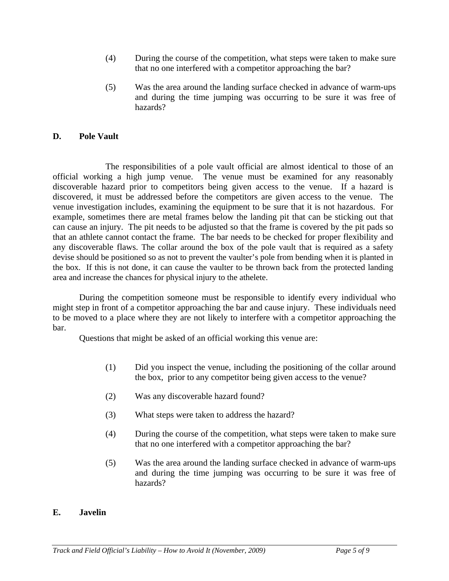- (4) During the course of the competition, what steps were taken to make sure that no one interfered with a competitor approaching the bar?
- (5) Was the area around the landing surface checked in advance of warm-ups and during the time jumping was occurring to be sure it was free of hazards?

#### **D. Pole Vault**

 The responsibilities of a pole vault official are almost identical to those of an official working a high jump venue. The venue must be examined for any reasonably discoverable hazard prior to competitors being given access to the venue. If a hazard is discovered, it must be addressed before the competitors are given access to the venue. The venue investigation includes, examining the equipment to be sure that it is not hazardous. For example, sometimes there are metal frames below the landing pit that can be sticking out that can cause an injury. The pit needs to be adjusted so that the frame is covered by the pit pads so that an athlete cannot contact the frame. The bar needs to be checked for proper flexibility and any discoverable flaws. The collar around the box of the pole vault that is required as a safety devise should be positioned so as not to prevent the vaulter's pole from bending when it is planted in the box. If this is not done, it can cause the vaulter to be thrown back from the protected landing area and increase the chances for physical injury to the athelete.

 During the competition someone must be responsible to identify every individual who might step in front of a competitor approaching the bar and cause injury. These individuals need to be moved to a place where they are not likely to interfere with a competitor approaching the bar.

Questions that might be asked of an official working this venue are:

- (1) Did you inspect the venue, including the positioning of the collar around the box, prior to any competitor being given access to the venue?
- (2) Was any discoverable hazard found?
- (3) What steps were taken to address the hazard?
- (4) During the course of the competition, what steps were taken to make sure that no one interfered with a competitor approaching the bar?
- (5) Was the area around the landing surface checked in advance of warm-ups and during the time jumping was occurring to be sure it was free of hazards?

#### **E. Javelin**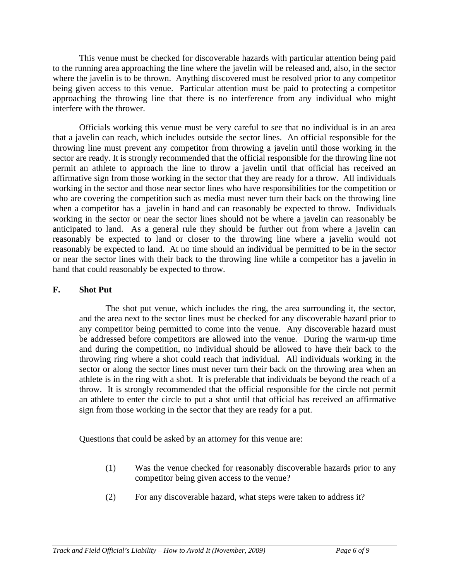This venue must be checked for discoverable hazards with particular attention being paid to the running area approaching the line where the javelin will be released and, also, in the sector where the javelin is to be thrown. Anything discovered must be resolved prior to any competitor being given access to this venue. Particular attention must be paid to protecting a competitor approaching the throwing line that there is no interference from any individual who might interfere with the thrower.

 Officials working this venue must be very careful to see that no individual is in an area that a javelin can reach, which includes outside the sector lines. An official responsible for the throwing line must prevent any competitor from throwing a javelin until those working in the sector are ready. It is strongly recommended that the official responsible for the throwing line not permit an athlete to approach the line to throw a javelin until that official has received an affirmative sign from those working in the sector that they are ready for a throw. All individuals working in the sector and those near sector lines who have responsibilities for the competition or who are covering the competition such as media must never turn their back on the throwing line when a competitor has a javelin in hand and can reasonably be expected to throw. Individuals working in the sector or near the sector lines should not be where a javelin can reasonably be anticipated to land. As a general rule they should be further out from where a javelin can reasonably be expected to land or closer to the throwing line where a javelin would not reasonably be expected to land. At no time should an individual be permitted to be in the sector or near the sector lines with their back to the throwing line while a competitor has a javelin in hand that could reasonably be expected to throw.

### **F. Shot Put**

The shot put venue, which includes the ring, the area surrounding it, the sector, and the area next to the sector lines must be checked for any discoverable hazard prior to any competitor being permitted to come into the venue. Any discoverable hazard must be addressed before competitors are allowed into the venue. During the warm-up time and during the competition, no individual should be allowed to have their back to the throwing ring where a shot could reach that individual. All individuals working in the sector or along the sector lines must never turn their back on the throwing area when an athlete is in the ring with a shot. It is preferable that individuals be beyond the reach of a throw. It is strongly recommended that the official responsible for the circle not permit an athlete to enter the circle to put a shot until that official has received an affirmative sign from those working in the sector that they are ready for a put.

Questions that could be asked by an attorney for this venue are:

- (1) Was the venue checked for reasonably discoverable hazards prior to any competitor being given access to the venue?
- (2) For any discoverable hazard, what steps were taken to address it?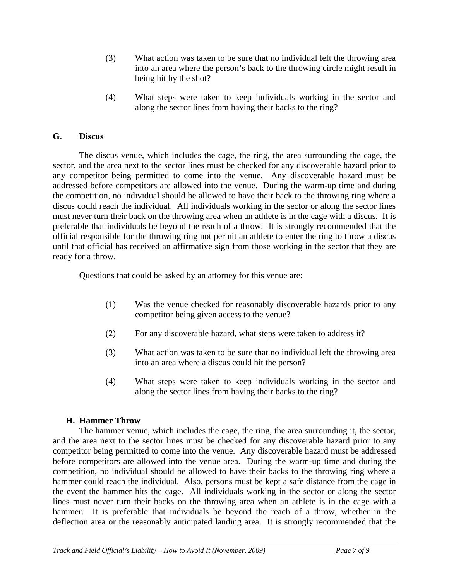- (3) What action was taken to be sure that no individual left the throwing area into an area where the person's back to the throwing circle might result in being hit by the shot?
- (4) What steps were taken to keep individuals working in the sector and along the sector lines from having their backs to the ring?

### **G. Discus**

 The discus venue, which includes the cage, the ring, the area surrounding the cage, the sector, and the area next to the sector lines must be checked for any discoverable hazard prior to any competitor being permitted to come into the venue. Any discoverable hazard must be addressed before competitors are allowed into the venue. During the warm-up time and during the competition, no individual should be allowed to have their back to the throwing ring where a discus could reach the individual. All individuals working in the sector or along the sector lines must never turn their back on the throwing area when an athlete is in the cage with a discus. It is preferable that individuals be beyond the reach of a throw. It is strongly recommended that the official responsible for the throwing ring not permit an athlete to enter the ring to throw a discus until that official has received an affirmative sign from those working in the sector that they are ready for a throw.

Questions that could be asked by an attorney for this venue are:

- (1) Was the venue checked for reasonably discoverable hazards prior to any competitor being given access to the venue?
- (2) For any discoverable hazard, what steps were taken to address it?
- (3) What action was taken to be sure that no individual left the throwing area into an area where a discus could hit the person?
- (4) What steps were taken to keep individuals working in the sector and along the sector lines from having their backs to the ring?

### **H. Hammer Throw**

The hammer venue, which includes the cage, the ring, the area surrounding it, the sector, and the area next to the sector lines must be checked for any discoverable hazard prior to any competitor being permitted to come into the venue. Any discoverable hazard must be addressed before competitors are allowed into the venue area. During the warm-up time and during the competition, no individual should be allowed to have their backs to the throwing ring where a hammer could reach the individual. Also, persons must be kept a safe distance from the cage in the event the hammer hits the cage. All individuals working in the sector or along the sector lines must never turn their backs on the throwing area when an athlete is in the cage with a hammer. It is preferable that individuals be beyond the reach of a throw, whether in the deflection area or the reasonably anticipated landing area. It is strongly recommended that the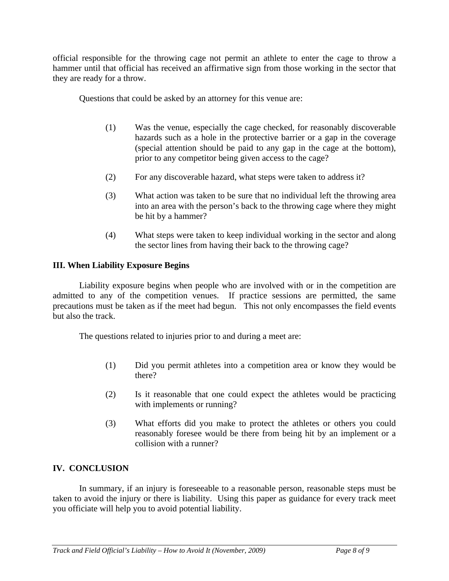official responsible for the throwing cage not permit an athlete to enter the cage to throw a hammer until that official has received an affirmative sign from those working in the sector that they are ready for a throw.

Questions that could be asked by an attorney for this venue are:

- (1) Was the venue, especially the cage checked, for reasonably discoverable hazards such as a hole in the protective barrier or a gap in the coverage (special attention should be paid to any gap in the cage at the bottom), prior to any competitor being given access to the cage?
- (2) For any discoverable hazard, what steps were taken to address it?
- (3) What action was taken to be sure that no individual left the throwing area into an area with the person's back to the throwing cage where they might be hit by a hammer?
- (4) What steps were taken to keep individual working in the sector and along the sector lines from having their back to the throwing cage?

# **III. When Liability Exposure Begins**

Liability exposure begins when people who are involved with or in the competition are admitted to any of the competition venues. If practice sessions are permitted, the same precautions must be taken as if the meet had begun. This not only encompasses the field events but also the track.

The questions related to injuries prior to and during a meet are:

- (1) Did you permit athletes into a competition area or know they would be there?
- (2) Is it reasonable that one could expect the athletes would be practicing with implements or running?
- (3) What efforts did you make to protect the athletes or others you could reasonably foresee would be there from being hit by an implement or a collision with a runner?

# **IV. CONCLUSION**

In summary, if an injury is foreseeable to a reasonable person, reasonable steps must be taken to avoid the injury or there is liability. Using this paper as guidance for every track meet you officiate will help you to avoid potential liability.